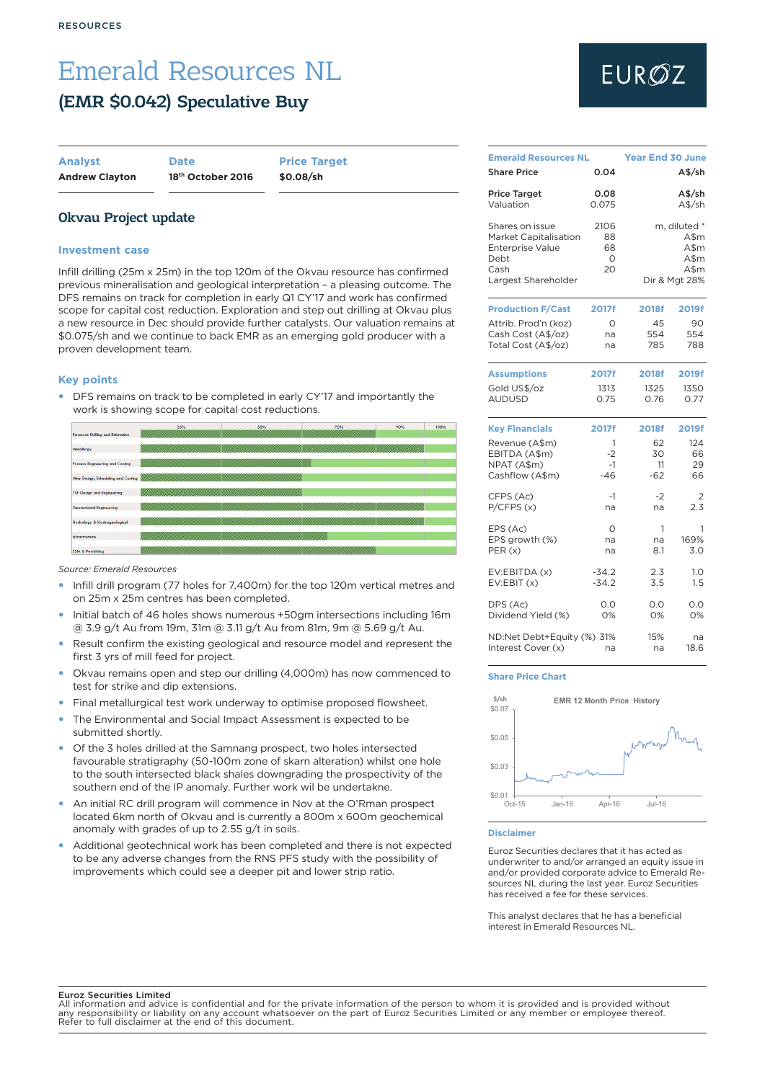### Emerald Resources NL (EMR \$0.042) Speculative Buy

| <b>Analyst</b>        |  |
|-----------------------|--|
| <b>Andrew Clayton</b> |  |

**Analyst Date Price Target**

**Andrew Clayton 18th October 2016 \$0.08/sh**

### Okvau Project update

### **Investment case**

Infill drilling (25m x 25m) in the top 120m of the Okvau resource has confirmed previous mineralisation and geological interpretation – a pleasing outcome. The DFS remains on track for completion in early Q1 CY'17 and work has confirmed scope for capital cost reduction. Exploration and step out drilling at Okvau plus a new resource in Dec should provide further catalysts. Our valuation remains at \$0.075/sh and we continue to back EMR as an emerging gold producer with a proven development team.

### **Key points**

DFS remains on track to be completed in early CY'17 and importantly the work is showing scope for capital cost reductions.



*Source: Emerald Resources*

- Infill drill program (77 holes for 7,400m) for the top 120m vertical metres and on 25m x 25m centres has been completed.
- Initial batch of 46 holes shows numerous +50gm intersections including 16m @ 3.9 g/t Au from 19m, 31m @ 3.11 g/t Au from 81m, 9m @ 5.69 g/t Au.
- Result confirm the existing geological and resource model and represent the first 3 yrs of mill feed for project.
- Okvau remains open and step our drilling (4,000m) has now commenced to test for strike and dip extensions.
- Final metallurgical test work underway to optimise proposed flowsheet.
- The Environmental and Social Impact Assessment is expected to be submitted shortly.
- Of the 3 holes drilled at the Samnang prospect, two holes intersected favourable stratigraphy (50-100m zone of skarn alteration) whilst one hole to the south intersected black shales downgrading the prospectivity of the southern end of the IP anomaly. Further work wil be undertakne.
- An initial RC drill program will commence in Nov at the O'Rman prospect located 6km north of Okvau and is currently a 800m x 600m geochemical anomaly with grades of up to 2.55 g/t in soils.
- Additional geotechnical work has been completed and there is not expected to be any adverse changes from the RNS PFS study with the possibility of improvements which could see a deeper pit and lower strip ratio.

# **EURØZ**

| <b>Emerald Resources NL</b>                                                                                       |                             | <b>Year End 30 June</b> |                                                               |
|-------------------------------------------------------------------------------------------------------------------|-----------------------------|-------------------------|---------------------------------------------------------------|
| <b>Share Price</b>                                                                                                | 0.04                        |                         | A\$/sh                                                        |
| <b>Price Target</b>                                                                                               | 0.08                        |                         | A\$/sh                                                        |
| Valuation                                                                                                         | 0.075                       |                         | $A$$ /sh                                                      |
| Shares on issue<br><b>Market Capitalisation</b><br><b>Enterprise Value</b><br>Debt<br>Cash<br>Largest Shareholder | 2106<br>88<br>68<br>O<br>20 |                         | m, diluted *<br>A\$m<br>A\$m<br>A\$m<br>A\$m<br>Dir & Mgt 28% |
| <b>Production F/Cast</b>                                                                                          | 2017f                       | 2018f                   | 2019f                                                         |
| Attrib. Prod'n (koz)                                                                                              | O                           | 45                      | 90                                                            |
| Cash Cost (A\$/oz)                                                                                                | na                          | 554                     | 554                                                           |
| Total Cost (A\$/oz)                                                                                               | na                          | 785                     | 788                                                           |
| <b>Assumptions</b>                                                                                                | 2017f                       | <b>2018f</b>            | <b>2019f</b>                                                  |
| Gold US\$/oz                                                                                                      | 1313                        | 1325                    | 1350                                                          |
| <b>AUDUSD</b>                                                                                                     | 0.75                        | 0.76                    | 0.77                                                          |
| <b>Key Financials</b>                                                                                             | 2017f                       | 2018f                   | 2019f                                                         |
| Revenue (A\$m)                                                                                                    | 1                           | 62                      | 124                                                           |
| EBITDA (A\$m)                                                                                                     | -2                          | 30                      | 66                                                            |
| NPAT (A\$m)                                                                                                       | $-1$                        | 11                      | 29                                                            |
| Cashflow (A\$m)                                                                                                   | $-46$                       | $-62$                   | 66                                                            |
| CFPS (Ac)                                                                                                         | $-1$                        | $-2$                    | 2                                                             |
| P/CFPS(x)                                                                                                         | na                          | na                      | 2.3                                                           |
| EPS (Ac)                                                                                                          | O                           | 1                       | 1                                                             |
| EPS growth (%)                                                                                                    | na                          | na                      | 169%                                                          |
| PER(x)                                                                                                            | na                          | 8.1                     | 3.0                                                           |
| EV:EBITDA (x)                                                                                                     | $-34.2$                     | 2.3                     | 1.0                                                           |
| EV:EBIT(x)                                                                                                        | $-34.2$                     | 3.5                     | 1.5                                                           |
| DPS (Ac)                                                                                                          | 0.0                         | 0.0                     | 0.0                                                           |
| Dividend Yield (%)                                                                                                | 0%                          | 0%                      | 0%                                                            |
| ND:Net Debt+Equity (%) 31%                                                                                        | na                          | 15%                     | na                                                            |
| Interest Cover (x)                                                                                                |                             | na                      | 18.6                                                          |

### **Share Price Chart**



**Disclaimer**

Euroz Securities declares that it has acted as underwriter to and/or arranged an equity issue in and/or provided corporate advice to Emerald Resources NL during the last year. Euroz Securities has received a fee for these services.

This analyst declares that he has a beneficial interest in Emerald Resources NL.

### Euroz Securities Limited

All information and advice is confidential and for the private information of the person to whom it is provided and is provided without any responsibility or liability on any account whatsoever on the part of Euroz Securities Limited or any member or employee thereof. Refer to full disclaimer at the end of this document.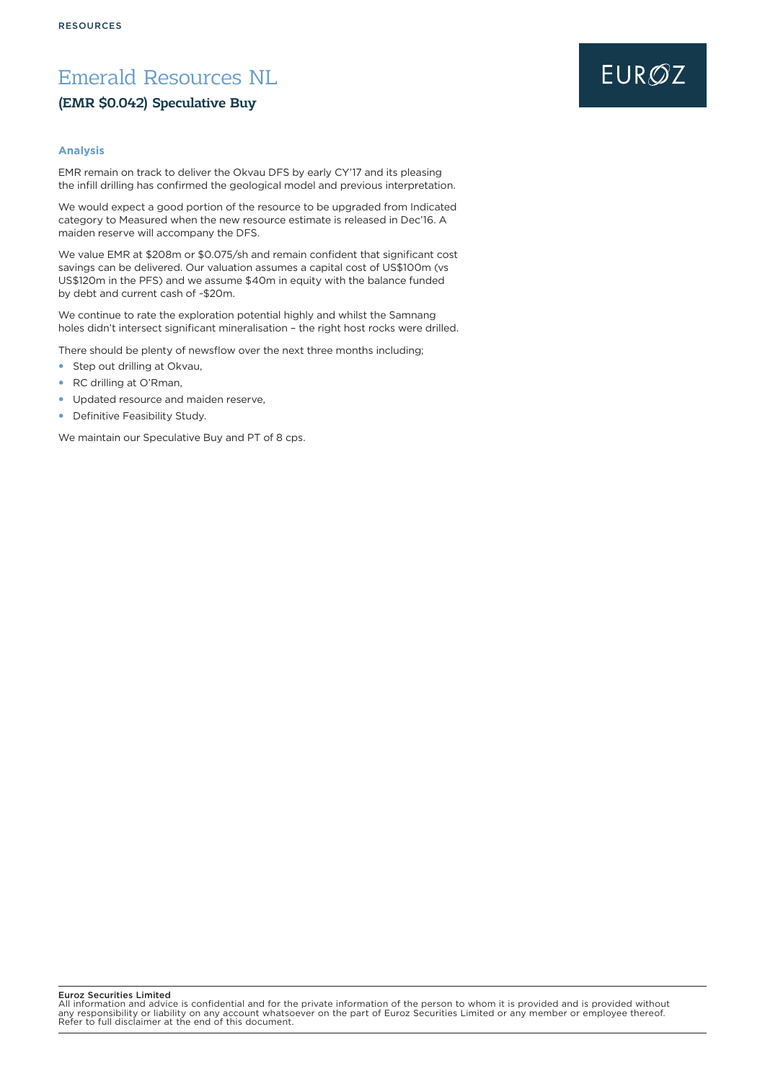### Emerald Resources NL

### (EMR \$0.042) Speculative Buy

### **Analysis**

EMR remain on track to deliver the Okvau DFS by early CY'17 and its pleasing the infill drilling has confirmed the geological model and previous interpretation.

We would expect a good portion of the resource to be upgraded from Indicated category to Measured when the new resource estimate is released in Dec'16. A maiden reserve will accompany the DFS.

We value EMR at \$208m or \$0.075/sh and remain confident that significant cost savings can be delivered. Our valuation assumes a capital cost of US\$100m (vs US\$120m in the PFS) and we assume \$40m in equity with the balance funded by debt and current cash of ~\$20m.

We continue to rate the exploration potential highly and whilst the Samnang holes didn't intersect significant mineralisation – the right host rocks were drilled.

There should be plenty of newsflow over the next three months including;

- Step out drilling at Okvau,
- RC drilling at O'Rman,
- Updated resource and maiden reserve,
- Definitive Feasibility Study.

We maintain our Speculative Buy and PT of 8 cps.

### Euroz Securities Limited

All information and advice is confidential and for the private information of the person to whom it is provided and is provided without<br>any responsibility or liability on any account whatsoever on the part of Euroz Securit

## **EUROZ**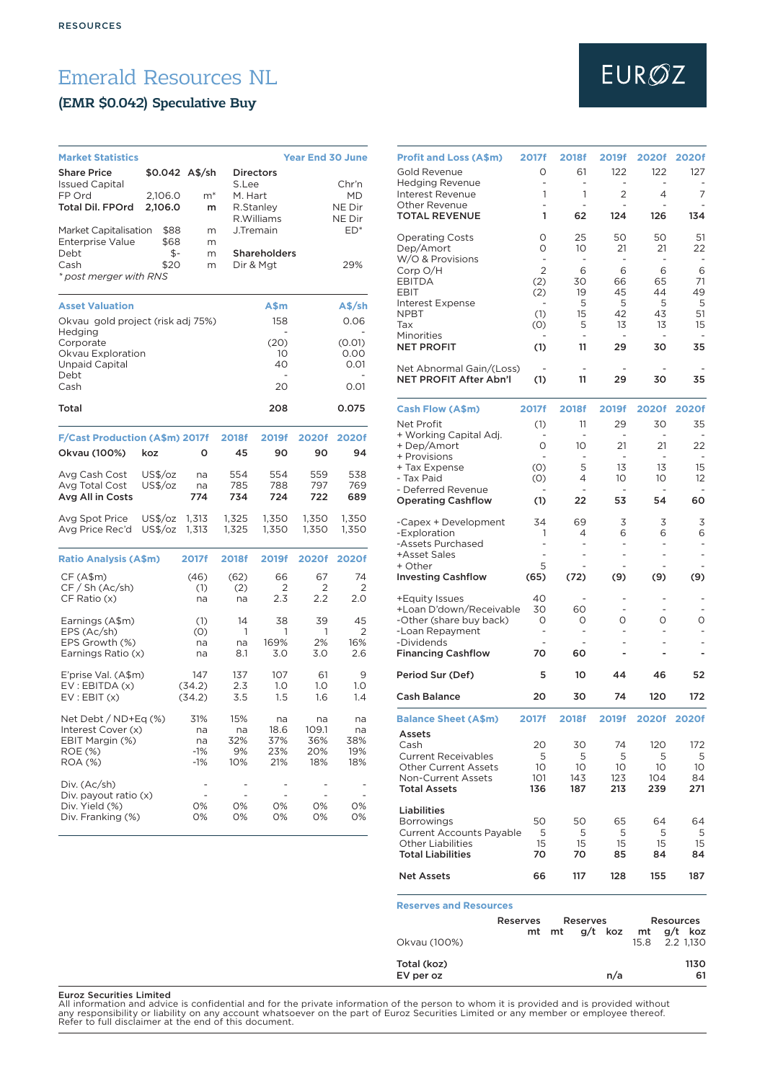### Emerald Resources NL

### (EMR \$0.042) Speculative Buy

| <b>Market Statistics</b>                                                            |                    |                                   |                               |                                  | <b>Year End 30 June</b>          |                               |
|-------------------------------------------------------------------------------------|--------------------|-----------------------------------|-------------------------------|----------------------------------|----------------------------------|-------------------------------|
| <b>Share Price</b><br><b>Issued Capital</b><br>FP Ord                               | 2,106.0            | \$0.042 A\$/sh<br>$m^*$           | S.Lee<br>M. Hart              | <b>Directors</b>                 |                                  | Chr'n<br>МD                   |
| Total Dil. FPOrd                                                                    | 2,106.0            | m                                 |                               | R.Stanley<br>R.Williams          |                                  | NE Dir<br>NE Dir              |
| Market Capitalisation                                                               | \$88               | m                                 |                               | J.Tremain                        |                                  | $ED*$                         |
| <b>Enterprise Value</b>                                                             | \$68               | m                                 |                               |                                  |                                  |                               |
| Debt<br>Cash<br>* post merger with RNS                                              | \$-<br>\$20        | m<br>m                            |                               | <b>Shareholders</b><br>Dir & Mgt |                                  | 29%                           |
| <b>Asset Valuation</b>                                                              |                    |                                   |                               | A\$m                             |                                  | A\$/sh                        |
| Okvau gold project (risk adj 75%)<br>Hedging                                        |                    |                                   |                               | 158                              |                                  | 0.06                          |
| Corporate<br>Okvau Exploration<br>Unpaid Capital                                    |                    |                                   |                               | (20)<br>10<br>40                 |                                  | (0.01)<br>0.00<br>0.01        |
| Debt<br>Cash                                                                        |                    |                                   |                               | $\overline{\phantom{0}}$<br>20   |                                  | 0.01                          |
| Total                                                                               |                    |                                   |                               | 208                              |                                  | 0.075                         |
| F/Cast Production (A\$m) 2017f                                                      |                    |                                   | <b>2018f</b>                  | 2019f                            | 2020f                            | 2020f                         |
| Okvau (100%)                                                                        | koz                | o                                 | 45                            | 90                               | 90                               | 94                            |
| Avg Cash Cost<br>Avg Total Cost<br>Avg All in Costs                                 | US\$/oz<br>US\$/oz | na<br>na<br>774                   | 554<br>785<br>734             | 554<br>788<br>724                | 559<br>797<br>722                | 538<br>769<br>689             |
| Avg Spot Price<br>Avg Price Rec'd                                                   | US\$/oz<br>US\$/oz | 1,313<br>1,313                    | 1,325<br>1,325                | 1,350<br>1,350                   | 1,350<br>1,350                   | 1,350<br>1,350                |
| <b>Ratio Analysis (A\$m)</b>                                                        |                    | <b>2017f</b>                      | <b>2018f</b>                  | 2019f                            | 2020f                            | <b>2020f</b>                  |
| CF(A\$m)<br>CF / Sh (Ac/sh)<br>CF Ratio (x)                                         |                    | (46)<br>(1)<br>na                 | (62)<br>(2)<br>na             | 66<br>2<br>2.3                   | 67<br>2<br>2.2                   | 74<br>2<br>2.0                |
| Earnings (A\$m)<br>EPS (Ac/sh)<br>EPS Growth (%)<br>Earnings Ratio (x)              |                    | (1)<br>(0)<br>na<br>na            | 14<br>1<br>na<br>8.1          | 38<br>1<br>169%<br>3.0           | 39<br>1<br>2%<br>3.0             | 45<br>2<br>16%<br>2.6         |
| E'prise Val. (A\$m)<br>EV: EBITDA (x)<br>EV:EBIT(x)                                 |                    | 147<br>(34.2)<br>(34.2)           | 137<br>2.3<br>3.5             | 107<br>1.0<br>1.5                | 61<br>1.0<br>1.6                 | 9<br>1.0<br>1.4               |
| Net Debt / ND+Eq (%)<br>Interest Cover (x)<br>EBIT Margin (%)<br>ROE (%)<br>ROA (%) |                    | 31%<br>na<br>na<br>$-1%$<br>$-1%$ | 15%<br>na<br>32%<br>9%<br>10% | na<br>18.6<br>37%<br>23%<br>21%  | na<br>109.1<br>36%<br>20%<br>18% | na<br>na<br>38%<br>19%<br>18% |
| Div. (Ac/sh)<br>Div. payout ratio (x)<br>Div. Yield (%)<br>Div. Franking (%)        |                    | 0%<br>0%                          | 0%<br>0%                      | 0%<br>0%                         | 0%<br>0%                         | 0%<br>0%                      |

# EURØZ

| <b>Profit and Loss (A\$m)</b>                               | 2017f                         | <b>2018f</b>                  | 2019f                           | 2020f                          | <b>2020f</b>                   |
|-------------------------------------------------------------|-------------------------------|-------------------------------|---------------------------------|--------------------------------|--------------------------------|
| Gold Revenue                                                | Ο                             | 61                            | 122                             | 122                            | 127                            |
| <b>Hedging Revenue</b><br>Interest Revenue                  | -<br>1                        | ÷<br>1                        | 2                               | 4                              | 7                              |
| <b>Other Revenue</b><br><b>TOTAL REVENUE</b>                | -<br>1                        | ä,<br>62                      | $\overline{\phantom{0}}$<br>124 | ÷<br>126                       | 134                            |
|                                                             |                               |                               |                                 |                                |                                |
| <b>Operating Costs</b><br>Dep/Amort                         | O<br>O                        | 25<br>10                      | 50<br>21                        | 50<br>21                       | 51<br>22                       |
| W/O & Provisions                                            | $\overline{\phantom{a}}$      | ÷.                            | ÷.                              | ÷                              | ÷,                             |
| Corp O/H<br><b>EBITDA</b>                                   | $\overline{2}$<br>(2)         | 6<br>30                       | 6<br>66                         | 6<br>65                        | 6<br>71                        |
| EBIT                                                        | (2)                           | 19                            | 45<br>5                         | 44                             | 49                             |
| Interest Expense<br><b>NPBT</b>                             | (1)                           | 5<br>15                       | 42                              | 5<br>43                        | 5<br>51                        |
| Tax<br>Minorities                                           | (0)                           | 5<br>$\overline{\phantom{0}}$ | 13<br>$\overline{a}$            | 13<br>$\overline{a}$           | 15<br>$\overline{\phantom{a}}$ |
| <b>NET PROFIT</b>                                           | (1)                           | 11                            | 29                              | 30                             | 35                             |
| Net Abnormal Gain/(Loss)                                    |                               |                               |                                 |                                |                                |
| <b>NET PROFIT After Abn'l</b>                               | (1)                           | 11                            | 29                              | 30                             | 35                             |
| Cash Flow (A\$m)                                            | 2017f                         | <b>2018f</b>                  | 2019f                           | 2020f                          | 2020f                          |
| Net Profit<br>+ Working Capital Adj.                        | (1)                           | 11<br>٠                       | 29                              | 30                             | 35                             |
| + Dep/Amort                                                 | 0                             | 10                            | 21                              | 21                             | 22                             |
| + Provisions<br>+ Tax Expense                               | (0)                           | 5                             | 13                              | 13                             | 15                             |
| - Tax Paid<br>- Deferred Revenue                            | (0)                           | 4<br>$\overline{\phantom{0}}$ | 10<br>$\overline{\phantom{a}}$  | 10<br>$\overline{\phantom{m}}$ | 12<br>$\overline{\phantom{a}}$ |
| <b>Operating Cashflow</b>                                   | (1)                           | 22                            | 53                              | 54                             | 60                             |
| -Capex + Development                                        | 34                            | 69                            | 3                               | 3                              | 3                              |
| -Exploration<br>-Assets Purchased                           | 1                             | 4<br>ä,                       | 6                               | 6<br>ä,                        | 6<br>$\overline{\phantom{a}}$  |
| +Asset Sales<br>+ Other                                     | $\overline{\phantom{a}}$<br>5 | ÷                             | $\overline{\phantom{0}}$        | $\overline{\phantom{0}}$       | $\overline{\phantom{a}}$       |
| <b>Investing Cashflow</b>                                   | (65)                          | (72)                          | (9)                             | (9)                            | (9)                            |
| +Equity Issues                                              | 40                            |                               |                                 |                                |                                |
| +Loan D'down/Receivable<br>-Other (share buy back)          | 30<br>O                       | 60<br>O                       | O                               | O                              | O                              |
| -Loan Repayment                                             | $\overline{a}$                | $\overline{\phantom{0}}$      |                                 |                                |                                |
| -Dividends<br><b>Financing Cashflow</b>                     | 70                            | 60                            |                                 |                                |                                |
| Period Sur (Def)                                            | 5                             | 10                            | 44                              | 46                             | 52                             |
| <b>Cash Balance</b>                                         | 20                            | 30                            | 74                              | 120                            | 172                            |
| <b>Balance Sheet (A\$m)</b>                                 | 2017f                         | 2018f                         | 2019f                           | 2020f                          | 2020f                          |
| Assets                                                      |                               |                               |                                 |                                |                                |
| Cash<br><b>Current Receivables</b>                          | 20<br>5                       | 30<br>5                       | 74<br>5                         | 120<br>5                       | 172<br>5                       |
| <b>Other Current Assets</b>                                 | 10                            | 10                            | 10                              | 10                             | 10                             |
| <b>Non-Current Assets</b><br><b>Total Assets</b>            | 101<br>136                    | 143<br>187                    | 123<br>213                      | 104<br>239                     | 84<br>271                      |
| Liabilities                                                 |                               |                               |                                 |                                |                                |
| <b>Borrowings</b>                                           | 50<br>5                       | 50<br>5                       | 65<br>5                         | 64<br>5                        | 64                             |
| <b>Current Accounts Payable</b><br><b>Other Liabilities</b> | 15                            | 15                            | 15                              | 15                             | 5<br>15                        |
| <b>Total Liabilities</b>                                    | 70                            | 70                            | 85                              | 84                             | 84                             |
| <b>Net Assets</b>                                           | 66                            | 117                           | 128                             | 155                            | 187                            |
| <b>Reserves and Resources</b>                               |                               |                               |                                 |                                |                                |
|                                                             | Reserves<br>mt                | Reserves<br>mt                | g/t<br>koz                      | mt                             | Resources<br>g/t<br>koz        |
| Okvau (100%)                                                |                               |                               |                                 | 15.8                           | 2.2 1,130                      |
| Total (koz)<br>EV per oz                                    |                               |                               | n/a                             |                                | 1130<br>61                     |

**Euroz Securities Limited**<br>All information and advice is confidential and for the private information of the person to whom it is provided and is provided without<br>any responsibility or liability on any account whatsoever o